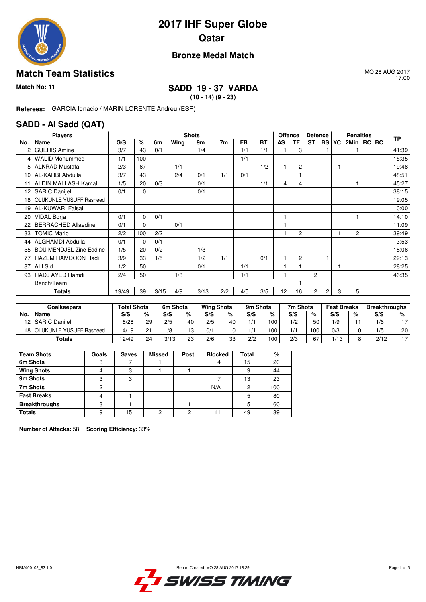

## **2017 IHF Super Globe Qatar**

#### **Bronze Medal Match**

#### **Match Team Statistics** MO 28 AUG 2017

17:00

### **Match No: 11 SADD 19 - 37 VARDA**

**(10 - 14) (9 - 23)**

**Referees:** GARCIA Ignacio / MARIN LORENTE Andreu (ESP)

#### **SADD - Al Sadd (QAT)**

|                 | <b>Players</b>                 |       |             |      |      | <b>Shots</b> |     |           |           | Offence |                | <b>Defence</b> |           |    | <b>Penalties</b> |  | <b>TP</b> |
|-----------------|--------------------------------|-------|-------------|------|------|--------------|-----|-----------|-----------|---------|----------------|----------------|-----------|----|------------------|--|-----------|
| No.             | Name                           | G/S   | $\%$        | 6m   | Wing | 9m           | 7m  | <b>FB</b> | <b>BT</b> | AS      | <b>TF</b>      | <b>ST</b>      | <b>BS</b> | YC | 2Min   RC   BC   |  |           |
| 2               | <b>GUEHIS Amine</b>            | 3/7   | 43          | 0/1  |      | 1/4          |     | 1/1       | 1/1       |         | 3              |                |           |    |                  |  | 41:39     |
| 4               | <b>WALID Mohummed</b>          | 1/1   | 100         |      |      |              |     | 1/1       |           |         |                |                |           |    |                  |  | 15:35     |
| 5.              | <b>ALKRAD Mustafa</b>          | 2/3   | 67          |      | 1/1  |              |     |           | 1/2       |         | $\overline{c}$ |                |           |    |                  |  | 19:48     |
| 10              | AL-KARBI Abdulla               | 3/7   | 43          |      | 2/4  | 0/1          | 1/1 | 0/1       |           |         |                |                |           |    |                  |  | 48:51     |
| 11              | ALDIN MALLASH Kamal            | 1/5   | 20          | 0/3  |      | 0/1          |     |           | 1/1       | 4       | 4              |                |           |    |                  |  | 45:27     |
| 12 <sup>2</sup> | <b>SARIC Danijel</b>           | 0/1   | $\mathbf 0$ |      |      | 0/1          |     |           |           |         |                |                |           |    |                  |  | 38:15     |
|                 | 18 OLUKUNLE YUSUFF Rasheed     |       |             |      |      |              |     |           |           |         |                |                |           |    |                  |  | 19:05     |
| 19 I            | <b>AL-KUWARI Faisal</b>        |       |             |      |      |              |     |           |           |         |                |                |           |    |                  |  | 0:00      |
| 20              | <b>VIDAL Borja</b>             | 0/1   | $\mathbf 0$ | 0/1  |      |              |     |           |           |         |                |                |           |    |                  |  | 14:10     |
| 22              | <b>BERRACHED Allaedine</b>     | 0/1   | $\mathbf 0$ |      | 0/1  |              |     |           |           |         |                |                |           |    |                  |  | 11:09     |
| 33              | <b>TOMIC Mario</b>             | 2/2   | 100         | 2/2  |      |              |     |           |           |         | $\overline{2}$ |                |           |    | 2                |  | 39:49     |
| 44              | ALGHAMDI Abdulla               | 0/1   | 0           | 0/1  |      |              |     |           |           |         |                |                |           |    |                  |  | 3:53      |
| 55              | <b>BOU MENDJEL Zine Eddine</b> | 1/5   | 20          | 0/2  |      | 1/3          |     |           |           |         |                |                |           |    |                  |  | 18:06     |
| 77              | HAZEM HAMDOON Hadi             | 3/9   | 33          | 1/5  |      | 1/2          | 1/1 |           | 0/1       |         | 2              |                |           |    |                  |  | 29:13     |
| 87              | <b>ALI Sid</b>                 | 1/2   | 50          |      |      | 0/1          |     | 1/1       |           |         |                |                |           |    |                  |  | 28:25     |
| 93 I            | HADJ AYED Hamdi                | 2/4   | 50          |      | 1/3  |              |     | 1/1       |           |         |                | $\overline{c}$ |           |    |                  |  | 46:35     |
|                 | Bench/Team                     |       |             |      |      |              |     |           |           |         |                |                |           |    |                  |  |           |
|                 | Totals                         | 19/49 | 39          | 3/15 | 4/9  | 3/13         | 2/2 | 4/5       | 3/5       | 12      | 16             | 2              | 2         | 3  | 5                |  |           |

|      | Goalkeepers             | <b>Total Shots</b> |              | 6m Shots |    | <b>Wing Shots</b> |    | 9m Shots |     | 7m Shots |        | <b>Fast Breaks</b> |   | <b>Breakthroughs</b> |                 |
|------|-------------------------|--------------------|--------------|----------|----|-------------------|----|----------|-----|----------|--------|--------------------|---|----------------------|-----------------|
| No.  | Name                    | S/S                | %            | S/S      | %  | S/S               | %  | S/S      | %   | S/S      | %      | S/S                | % | S/S                  | %               |
|      | 12   SARIC Danijel      | 8/28               | 29           | 2/5      | 40 | 2/5               | 40 | 1/1      | 100 | 1/2      | 50     | 1/9                |   | 1/6                  | $\overline{ }$  |
| 18 I | OLUKUNLE YUSUFF Rasheed | 4/19               | $\mathbf{C}$ | 1/8      | 13 | 0/1               |    |          | 100 | 1/1      | 100    | 0/3                |   | 1/5                  | 20 <sup>1</sup> |
|      | Totals                  | 12/49              | 24           | 3/13     | 23 | 2/6               | 33 | 2/2      | 100 | 2/3      | $\sim$ | 1/13               |   | 2/12                 | $\overline{ }$  |

| <b>Team Shots</b>    | Goals | <b>Saves</b> | <b>Missed</b> | Post | <b>Blocked</b> | Total | %   |
|----------------------|-------|--------------|---------------|------|----------------|-------|-----|
| 6m Shots             |       |              |               |      |                | 15    | 20  |
| <b>Wing Shots</b>    |       | ◠            |               |      |                | 9     | 44  |
| 9m Shots             |       | د،           |               |      |                | 13    | 23  |
| 7m Shots             |       |              |               |      | N/A            | 2     | 100 |
| <b>Fast Breaks</b>   |       |              |               |      |                | 5     | 80  |
| <b>Breakthroughs</b> |       |              |               |      |                | 5     | 60  |
| <b>Totals</b>        | 19    | 15           | ◠             | ◠    |                | 49    | 39  |

**Number of Attacks:** 58, **Scoring Efficiency:** 33%

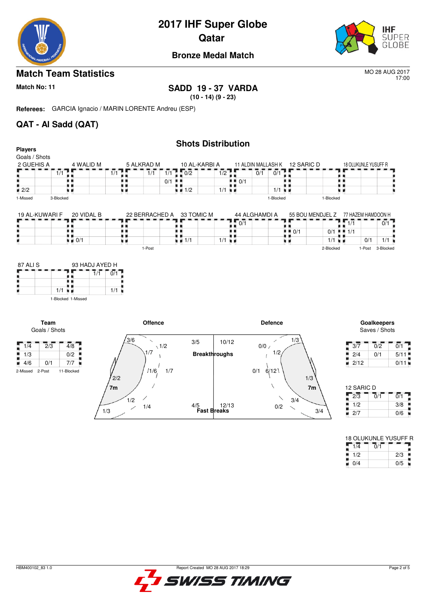

# **2017 IHF Super Globe**

**Qatar** 



#### **Bronze Medal Match**

#### **Match Team Statistics** MO 28 AUG 2017

17:00

**Match No: 11 SADD 19 - 37 VARDA**

**(10 - 14) (9 - 23)**

**Referees:** GARCIA Ignacio / MARIN LORENTE Andreu (ESP)

#### **QAT - Al Sadd (QAT)**

|                                                 |                                   |                                    |              | <b>Shots Distribution</b>         |                                   |                             |                                   |                      |                              |                              |                         |
|-------------------------------------------------|-----------------------------------|------------------------------------|--------------|-----------------------------------|-----------------------------------|-----------------------------|-----------------------------------|----------------------|------------------------------|------------------------------|-------------------------|
| <b>Players</b>                                  |                                   |                                    |              |                                   |                                   |                             |                                   |                      |                              |                              |                         |
| Goals / Shots<br>2 GUEHIS A                     | 4 WALID M                         | 5 ALKRAD M                         |              | 10 AL-KARBI A                     |                                   |                             | 11 ALDIN MALLASH K 12 SARIC D     |                      | 18 OLUKUNLE YUSUFF R         |                              |                         |
|                                                 |                                   |                                    |              |                                   |                                   |                             |                                   |                      |                              |                              |                         |
|                                                 | 1/1                               | $\overline{1}/\overline{1}$<br>1/1 |              | $1/1$ $1/2$                       | 1/2                               | $\overline{0}/\overline{1}$ | 0/1                               |                      | . .                          |                              |                         |
|                                                 | . .<br>י י                        | . .                                | $0/1$        |                                   | $\blacksquare$ $\blacksquare$ 0/1 |                             |                                   |                      |                              |                              |                         |
| $\blacksquare$ 2/2                              | . .                               | 9 H                                |              | $\blacksquare$ $\blacksquare$ 1/2 | $1/1$ $\blacksquare$              |                             | 1/1                               | ٠.                   |                              |                              |                         |
| 1-Missed                                        | 3-Blocked                         |                                    |              |                                   |                                   |                             | 1-Blocked                         | 1-Blocked            |                              |                              |                         |
| 19 AL-KUWARI F                                  | 20 VIDAL B                        |                                    |              | 22 BERRACHED A 33 TOMIC M         |                                   | 44 ALGHAMDI A               |                                   | 55 BOU MENDJEL Z     | 77 HAZEM HAMDOON H           |                              |                         |
|                                                 |                                   |                                    |              |                                   | 0/1                               |                             |                                   |                      | $\overline{1/1}$             | $\overline{0/1}$             |                         |
|                                                 | . .                               | . .                                | ٠            |                                   |                                   |                             | $\blacksquare$ $\blacksquare$ 0/1 | $0/1$ = 1/1          |                              |                              |                         |
|                                                 | $\blacksquare$ $\blacksquare$ 0/1 | . .                                |              | $\blacksquare$ $\blacksquare$ 1/1 | $1/1$ $\blacksquare$              |                             | u 11                              | $1/1$ $\blacksquare$ | 0/1                          | $1/1$ $\blacksquare$         |                         |
|                                                 |                                   | 1-Post                             |              |                                   |                                   |                             |                                   | 2-Blocked            | 1-Post                       | 3-Blocked                    |                         |
| Team                                            | 1-Blocked 1-Missed                |                                    |              |                                   |                                   |                             |                                   |                      |                              |                              |                         |
|                                                 |                                   |                                    |              |                                   |                                   |                             |                                   |                      |                              |                              |                         |
| Goals / Shots                                   |                                   | <b>Offence</b>                     |              |                                   |                                   | <b>Defence</b>              |                                   |                      |                              | Goalkeepers<br>Saves / Shots |                         |
|                                                 |                                   | 3/6<br>$\checkmark$                |              | 3/5                               | 10/12                             |                             | 1/3                               |                      |                              |                              |                         |
| $\sqrt{1/4}$<br>$\overline{2}/\overline{3}$     | $\overline{4/8}$                  | 1/7                                | $\sqrt{1/2}$ |                                   |                                   | 0/0/                        | 1/2                               |                      | 3/7                          | 0/2                          | $\overline{0/1}$        |
| $\frac{1}{2}$ 1/3                               | 0/2                               |                                    |              | <b>Breakthroughs</b>              |                                   |                             |                                   |                      | 2/4                          | 0/1                          | 5/11                    |
| $\blacksquare$ 4/6<br>0/1<br>2-Post<br>2-Missed | 7/7<br>11-Blocked                 | 1/6                                | 1/7          |                                   |                                   | 0/1<br>6/12                 |                                   |                      | 2/12<br>۰.                   |                              | 0/11                    |
|                                                 |                                   | 2/2                                |              |                                   |                                   |                             | 1/3                               |                      |                              |                              |                         |
|                                                 |                                   | 7 <sub>m</sub>                     |              |                                   |                                   |                             | 7m                                |                      | 12 SARIC D                   | $\overline{0}/\overline{1}$  |                         |
|                                                 |                                   | 1/2<br>1/4                         |              | 4/5                               | 12/13                             |                             | 3/4<br>0/2                        |                      | $\overline{2/3}$<br>1/2<br>٠ |                              | $\overline{0/1}$<br>3/8 |

18 OLUKUNLE YUSUFF R  $1/4$  0/1  $1/2$  | 2/3 0/4 0/5

× t

ж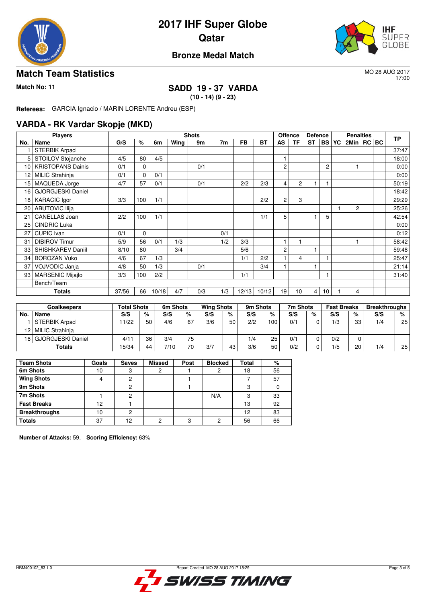

# **2017 IHF Super Globe Qatar**



#### **Bronze Medal Match**

#### **Match Team Statistics** MO 28 AUG 2017

17:00

## **Match No: 11 SADD 19 - 37 VARDA**

**(10 - 14) (9 - 23)**

**Referees:** GARCIA Ignacio / MARIN LORENTE Andreu (ESP)

#### **VARDA - RK Vardar Skopje (MKD)**

|     | <b>Players</b>           |       |             |       |      | <b>Shots</b> |     |           |           | <b>Offence</b> |                | <b>Defence</b> |                 |    | <b>Penalties</b> |  | <b>TP</b> |
|-----|--------------------------|-------|-------------|-------|------|--------------|-----|-----------|-----------|----------------|----------------|----------------|-----------------|----|------------------|--|-----------|
| No. | Name                     | G/S   | %           | 6m    | Wing | 9m           | 7m  | <b>FB</b> | <b>BT</b> | AS             | <b>TF</b>      | <b>ST</b>      | <b>BS</b>       | YC | 2Min   RC   BC   |  |           |
|     | <b>STERBIK Arpad</b>     |       |             |       |      |              |     |           |           |                |                |                |                 |    |                  |  | 37:47     |
| 5   | STOILOV Stojanche        | 4/5   | 80          | 4/5   |      |              |     |           |           |                |                |                |                 |    |                  |  | 18:00     |
| 10  | <b>KRISTOPANS Dainis</b> | 0/1   | $\mathbf 0$ |       |      | 0/1          |     |           |           | 2              |                |                | $\overline{c}$  |    |                  |  | 0:00      |
| 12  | MILIC Strahinja          | 0/1   | $\mathbf 0$ | 0/1   |      |              |     |           |           |                |                |                |                 |    |                  |  | 0:00      |
| 15  | MAQUEDA Jorge            | 4/7   | 57          | 0/1   |      | 0/1          |     | 2/2       | 2/3       | 4              | $\overline{c}$ |                |                 |    |                  |  | 50:19     |
| 16  | <b>GJORGJESKI Daniel</b> |       |             |       |      |              |     |           |           |                |                |                |                 |    |                  |  | 18:42     |
|     | 18   KARACIC Igor        | 3/3   | 100         | 1/1   |      |              |     |           | 2/2       | 2              | 3              |                |                 |    |                  |  | 29:29     |
| 20  | <b>ABUTOVIC Ilija</b>    |       |             |       |      |              |     |           |           |                |                |                |                 |    | $\overline{2}$   |  | 25:26     |
| 21  | <b>CANELLAS Joan</b>     | 2/2   | 100         | 1/1   |      |              |     |           | 1/1       | 5              |                |                | 5               |    |                  |  | 42:54     |
| 25  | <b>CINDRIC Luka</b>      |       |             |       |      |              |     |           |           |                |                |                |                 |    |                  |  | 0:00      |
| 27  | CUPIC Ivan               | 0/1   | $\mathbf 0$ |       |      |              | 0/1 |           |           |                |                |                |                 |    |                  |  | 0:12      |
| 31  | <b>DIBIROV Timur</b>     | 5/9   | 56          | 0/1   | 1/3  |              | 1/2 | 3/3       |           |                |                |                |                 |    |                  |  | 58:42     |
| 33  | SHISHKAREV Daniil        | 8/10  | 80          |       | 3/4  |              |     | 5/6       |           | 2              |                |                |                 |    |                  |  | 59:48     |
| 34  | <b>BOROZAN Vuko</b>      | 4/6   | 67          | 1/3   |      |              |     | 1/1       | 2/2       |                | 4              |                |                 |    |                  |  | 25:47     |
| 37  | VOJVODIC Janja           | 4/8   | 50          | 1/3   |      | 0/1          |     |           | 3/4       |                |                |                |                 |    |                  |  | 21:14     |
| 93  | <b>MARSENIC Mijajlo</b>  | 3/3   | 100         | 2/2   |      |              |     | 1/1       |           |                |                |                |                 |    |                  |  | 31:40     |
|     | Bench/Team               |       |             |       |      |              |     |           |           |                |                |                |                 |    |                  |  |           |
|     | <b>Totals</b>            | 37/56 | 66          | 10/18 | 4/7  | 0/3          | 1/3 | 12/13     | 10/12     | 19             | 10             | 4              | 10 <sup>1</sup> |    | 4                |  |           |

|                 | <b>Goalkeepers</b>   | <b>Total Shots</b> |    | 6m Shots |     | <b>Wing Shots</b> |    | 9m Shots |     | 7m Shots |   | <b>Fast Breaks</b> |    | <b>Breakthroughs</b> |    |
|-----------------|----------------------|--------------------|----|----------|-----|-------------------|----|----------|-----|----------|---|--------------------|----|----------------------|----|
| No.             | Name                 | S/S                | %  | S/S      | %   | S/S               | %  | S/S      | %   | S/S      | % | S/S                | %  | S/S                  | %  |
|                 | <b>STERBIK Arpad</b> | 11/22              | 50 | 4/6      | 67  | 3/6               | 50 | 2/2      | 100 | 0/1      |   | 1/3                | 33 | 1/4                  | 25 |
|                 | 12   MILIC Strahinja |                    |    |          |     |                   |    |          |     |          |   |                    |    |                      |    |
| 16 <sub>1</sub> | GJORGJESKI Daniel    | 4/11               | 36 | 3/4      | 75. |                   |    | 1/4      | 25  | 0/1      |   | 0/2                |    |                      |    |
|                 | Totals               | 15/34              | 44 | 7/10     | 70. | 3/7               | 43 | 3/6      | 50  | 0/2      |   | 1/5                | 20 | 1/4                  | 25 |

| <b>Team Shots</b>    | Goals | <b>Saves</b> | <b>Missed</b> | Post | <b>Blocked</b> | Total | %  |
|----------------------|-------|--------------|---------------|------|----------------|-------|----|
| 6m Shots             | 10    |              |               |      | 2              | 18    | 56 |
| <b>Wing Shots</b>    |       |              |               |      |                |       | 57 |
| 9m Shots             |       |              |               |      |                | 3     |    |
| 7m Shots             |       | ◠            |               |      | N/A            | 3     | 33 |
| <b>Fast Breaks</b>   | 12    |              |               |      |                | 13    | 92 |
| <b>Breakthroughs</b> | 10    | റ            |               |      |                | 12    | 83 |
| <b>Totals</b>        | 37    | 12           |               |      | ◠              | 56    | 66 |

**Number of Attacks:** 59, **Scoring Efficiency:** 63%

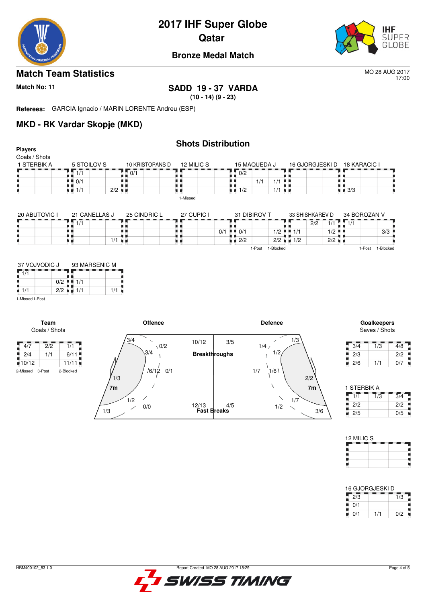

# **2017 IHF Super Globe**

**Qatar** 



#### **Bronze Medal Match**

#### **Match Team Statistics** MO 28 AUG 2017

17:00

### **Match No: 11 SADD 19 - 37 VARDA**

**(10 - 14) (9 - 23)**

**Referees:** GARCIA Ignacio / MARIN LORENTE Andreu (ESP)

1/3

0/0

 $1/2$ 

 $\overline{\phantom{0}}$ 

#### **MKD - RK Vardar Skopje (MKD)**

|                                                            |                                                |                      |                 | <b>Shots Distribution</b> |     |                                   |              |                      |                                         |                             |                      |                              |                              |                  |
|------------------------------------------------------------|------------------------------------------------|----------------------|-----------------|---------------------------|-----|-----------------------------------|--------------|----------------------|-----------------------------------------|-----------------------------|----------------------|------------------------------|------------------------------|------------------|
| <b>Players</b><br>Goals / Shots                            |                                                |                      |                 |                           |     |                                   |              |                      |                                         |                             |                      |                              |                              |                  |
| 1 STERBIK A                                                | 5 STOILOV S                                    |                      | 10 KRISTOPANS D | 12 MILIC S                |     |                                   | 15 MAQUEDA J |                      |                                         |                             |                      | 16 GJORGJESKI D 18 KARACIC I |                              |                  |
|                                                            | 4477                                           | 0/1                  |                 |                           |     | $\overline{0/2}$                  |              |                      |                                         |                             |                      |                              |                              |                  |
|                                                            | $\blacksquare$ $\blacksquare$ 0/1              |                      |                 |                           | . . |                                   | 1/1          | $1/1$                | .,                                      |                             |                      | . .                          |                              |                  |
|                                                            | <br>$\blacksquare$ $\blacksquare$ 1/1          | $2/2$ $\blacksquare$ |                 |                           |     | $\blacksquare$ $\blacksquare$ 1/2 |              | $1/1$ $\blacksquare$ |                                         |                             |                      | . .<br>$\blacksquare$ 3/3    |                              |                  |
|                                                            |                                                |                      |                 | 1-Missed                  |     |                                   |              |                      |                                         |                             |                      |                              |                              |                  |
|                                                            |                                                |                      |                 |                           |     |                                   |              |                      |                                         |                             |                      |                              |                              |                  |
| 20 ABUTOVIC I                                              | 21 CANELLAS J                                  |                      | 25 CINDRIC L    | 27 CUPIC I                |     |                                   | 31 DIBIROV T |                      |                                         | 33 SHISHKAREV D             |                      | 34 BOROZAN V                 |                              |                  |
|                                                            | 1/1                                            |                      |                 |                           |     |                                   |              |                      |                                         | $\overline{2}/\overline{2}$ |                      | $1/1$ $\sqrt{1/1}$           |                              |                  |
|                                                            | . .<br>. .                                     |                      |                 |                           |     | $0/1$ $1/1$ $0/1$                 |              |                      | $1/2$ $\frac{1}{2}$ $\frac{1}{2}$ $1/1$ |                             | $1/2$ $\blacksquare$ |                              | 3/3                          |                  |
|                                                            | . .                                            | $1/1$ $\blacksquare$ |                 | uк                        |     | $\blacksquare$ 2/2                |              | 1-Post 1-Blocked     | $2/2$ $\blacksquare$ 1/2                |                             | $2/2$ $\blacksquare$ |                              |                              |                  |
| $\sqrt{1/1}$<br>٠<br>$\blacksquare$ 1/1<br>1-Missed 1-Post | . .<br>$0/2$ $\blacksquare$ 1/1<br>$2/2$ = 1/1 | 1/1                  |                 |                           |     |                                   |              |                      |                                         |                             |                      |                              |                              |                  |
| Team<br>Goals / Shots                                      |                                                | '3/4                 | <b>Offence</b>  |                           |     |                                   |              | <b>Defence</b>       | 1/3                                     |                             |                      |                              | Goalkeepers<br>Saves / Shots |                  |
| $\sqrt{4/7}$<br>$\overline{2}/\overline{2}$                | $\overline{1/1}$                               |                      | $\setminus 0/2$ | 10/12                     | 3/5 |                                   | 1/4/         |                      |                                         |                             |                      | 3/4                          | $\overline{1/3}$             | $\overline{4/8}$ |
| 2/4<br>1/1                                                 | 6/11                                           |                      | 3/4             | <b>Breakthroughs</b>      |     |                                   |              | 1/2                  |                                         |                             |                      | ш<br>2/3                     |                              | 2/2              |
| 10/12                                                      | 11/11                                          |                      |                 |                           |     |                                   |              |                      |                                         |                             |                      | $\blacksquare$ 2/6           | 1/1                          | 0/7              |
| 3-Post<br>2-Missed                                         | 2-Blocked                                      | 1/3                  | $16/12$ 0/1     |                           |     |                                   | 1/7          | 1/6                  |                                         | 2/2                         |                      |                              |                              |                  |

**Fast Breaks**

4/5

12/13

**7m 7m**

| 1 STERBIK A |     |     |
|-------------|-----|-----|
|             | 1/3 | 3/4 |
| 2/2         |     | 2/2 |
| 2/5         |     | 0/5 |

3/6

1/2

1/7

| 12 MILIC S |  |  |
|------------|--|--|
|            |  |  |
|            |  |  |
|            |  |  |

| 16 GJORGJESKI D |     |     |
|-----------------|-----|-----|
| 2/3             |     | 1/3 |
| 0/1             |     |     |
| 0/1             | 1/1 | 0/2 |